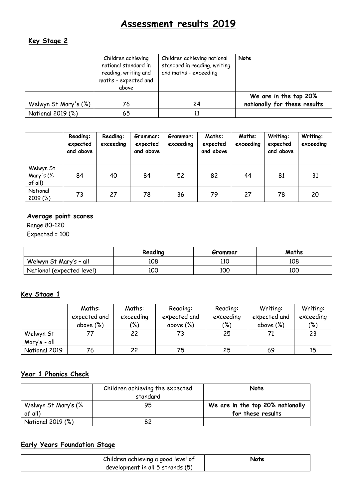# **Assessment results 2019**

### **Key Stage 2**

|                      | Children achieving<br>national standard in<br>reading, writing and<br>maths - expected and<br>above | Children achieving national<br>standard in reading, writing<br>and maths - exceeding | Note                                                  |
|----------------------|-----------------------------------------------------------------------------------------------------|--------------------------------------------------------------------------------------|-------------------------------------------------------|
| Welwyn St Mary's (%) | 76                                                                                                  | 24                                                                                   | We are in the top 20%<br>nationally for these results |
| National 2019 (%)    | 65                                                                                                  |                                                                                      |                                                       |

|                                   | Reading:<br>expected<br>and above | Reading:<br>exceeding | Grammar:<br>expected<br>and above | Grammar:<br>exceeding | Maths:<br>expected<br>and above | Maths:<br>exceeding | Writing:<br>expected<br>and above | Writing:<br>exceeding |
|-----------------------------------|-----------------------------------|-----------------------|-----------------------------------|-----------------------|---------------------------------|---------------------|-----------------------------------|-----------------------|
|                                   |                                   |                       |                                   |                       |                                 |                     |                                   |                       |
| Welwyn St<br>Mary's (%<br>of all) | 84                                | 40                    | 84                                | 52                    | 82                              | 44                  | 81                                | 31                    |
| National<br>2019 (%)              | 73                                | 27                    | 78                                | 36                    | 79                              | 27                  | 78                                | 20                    |

#### **Average point scores**

Range 80-120 Expected = 100

|                           | Reading | Grammar | Maths |
|---------------------------|---------|---------|-------|
| Welwyn St Mary's - all    | 108     | 110     | 108   |
| National (expected level) | 100     | 100     | 100   |

#### **Key Stage 1**

|               | Maths:       | Maths:        | Reading:     | Reading:  | Writing:     | Writing:  |
|---------------|--------------|---------------|--------------|-----------|--------------|-----------|
|               | expected and | exceeding     | expected and | exceeding | expected and | exceeding |
|               | above $(\%)$ | $\frac{1}{2}$ | above $(\%)$ | (%)       | above $(\%)$ | (%)       |
| Welwyn St     |              | 22            | 73           | 25        |              | 23        |
| Mary's - all  |              |               |              |           |              |           |
| National 2019 | 76           | 22            | 75           | 25        | 69           | 15        |

## **Year 1 Phonics Check**

|                                | Children achieving the expected<br>standard | Note                                                  |
|--------------------------------|---------------------------------------------|-------------------------------------------------------|
| Welwyn St Mary's (%<br>of all) | 95                                          | We are in the top 20% nationally<br>for these results |
| National 2019 (%)              |                                             |                                                       |

### **Early Years Foundation Stage**

| Children achieving a good level of | Note |
|------------------------------------|------|
| development in all 5 strands (5)   |      |